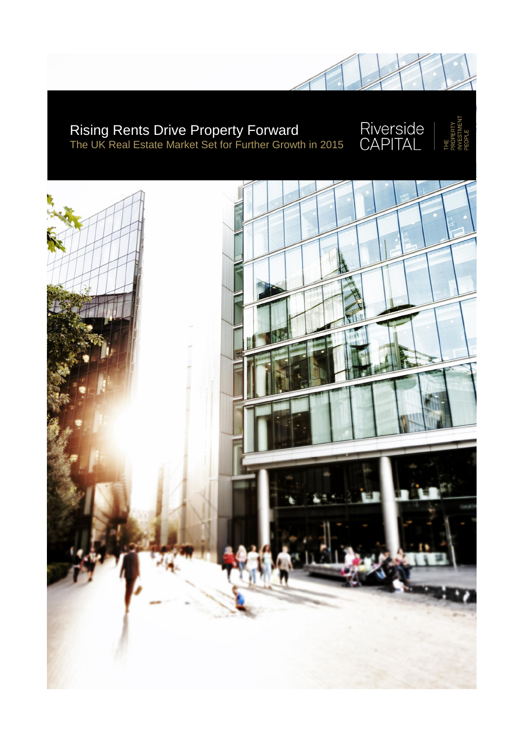## Rising Rents Drive Property Forward The UK Real Estate Market Set for Further Growth in 2015

Riverside<br>CAPITAL

**PEOPLE** 

ΗE

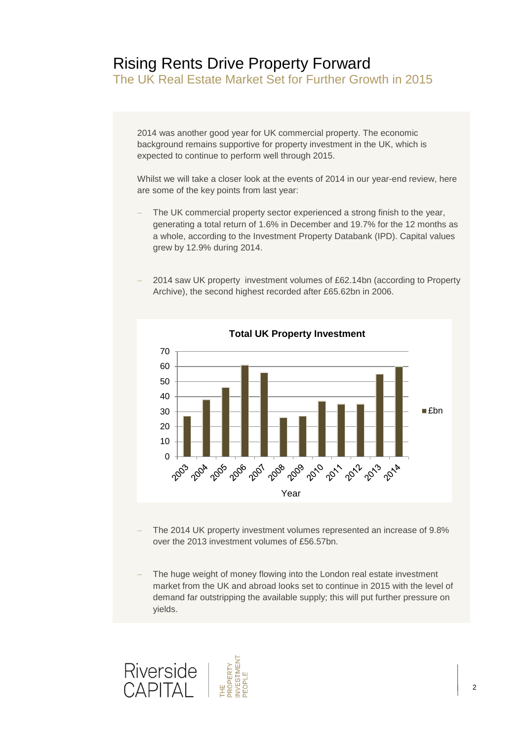## Rising Rents Drive Property Forward

The UK Real Estate Market Set for Further Growth in 2015

2014 was another good year for UK commercial property. The economic background remains supportive for property investment in the UK, which is expected to continue to perform well through 2015.

Whilst we will take a closer look at the events of 2014 in our year-end review, here are some of the key points from last year:

- The UK commercial property sector experienced a strong finish to the year, generating a total return of 1.6% in December and 19.7% for the 12 months as a whole, according to the Investment Property Databank (IPD). Capital values grew by 12.9% during 2014.
- 2014 saw UK property investment volumes of £62.14bn (according to Property Archive), the second highest recorded after £65.62bn in 2006.



The 2014 UK property investment volumes represented an increase of 9.8%

over the 2013 investment volumes of £56.57bn.

 The huge weight of money flowing into the London real estate investment market from the UK and abroad looks set to continue in 2015 with the level of demand far outstripping the available supply; this will put further pressure on yields.